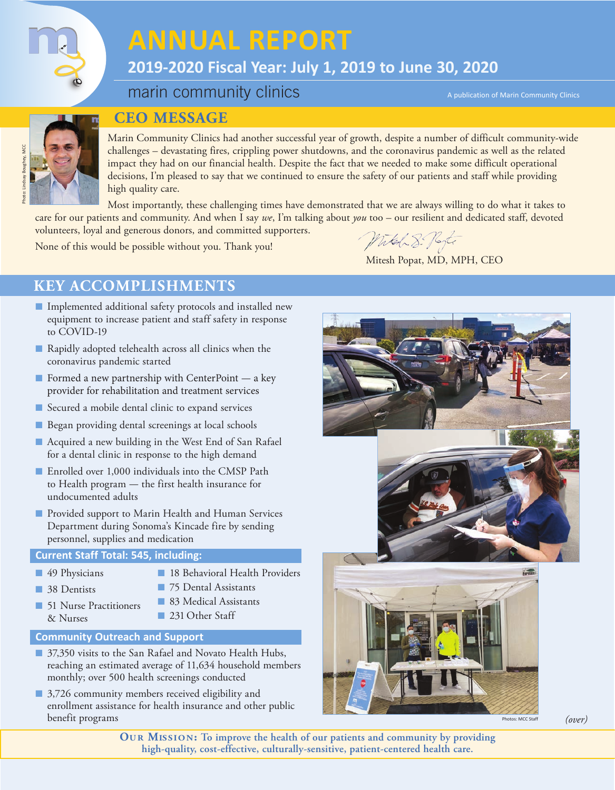

# **ANNUAL REPORT**

# **2019-2020 Fiscal Year: July 1, 2019 to June 30, 2020**

# marin community clinics

A publication of Marin Community Clinics



## **CEO MESSAGE**

Marin Community Clinics had another successful year of growth, despite a number of difficult community-wide challenges – devastating fires, crippling power shutdowns, and the coronavirus pandemic as well as the related impact they had on our financial health. Despite the fact that we needed to make some difficult operational decisions, I'm pleased to say that we continued to ensure the safety of our patients and staff while providing high quality care.

Most importantly, these challenging times have demonstrated that we are always willing to do what it takes to care for our patients and community. And when I say *we*, I'm talking about *you* too – our resilient and dedicated staff, devoted

volunteers, loyal and generous donors, and committed supporters.

Witch 8. Porte

Mitesh Popat, MD, MPH, CEO

None of this would be possible without you. Thank you!

# **KEY ACCOMPLISHMENTS**

- Implemented additional safety protocols and installed new equipment to increase patient and staff safety in response to COVID-19
- Rapidly adopted telehealth across all clinics when the coronavirus pandemic started
- Formed a new partnership with CenterPoint a key provider for rehabilitation and treatment services
- Secured a mobile dental clinic to expand services
- Began providing dental screenings at local schools
- Acquired a new building in the West End of San Rafael for a dental clinic in response to the high demand
- Enrolled over 1,000 individuals into the CMSP Path to Health program — the first health insurance for undocumented adults
- Provided support to Marin Health and Human Services Department during Sonoma's Kincade fire by sending personnel, supplies and medication

### **Current Staff Total: 545, including:**

- 49 Physicians
- 18 Behavioral Health Providers
- 38 Dentists
- 75 Dental Assistants ■ 83 Medical Assistants

■ 231 Other Staff

■ 51 Nurse Practitioners & Nurses

### **Community Outreach and Support**

- 37,350 visits to the San Rafael and Novato Health Hubs, reaching an estimated average of 11,634 household members monthly; over 500 health screenings conducted
- 3,726 community members received eligibility and enrollment assistance for health insurance and other public benefit programs



**Ou r Mis sion: To improve the health of our patients and community by providing high-quality, cost-effective, culturally-sensitive, patient-centered health care.**

Photos: MCC Staff *(over)*